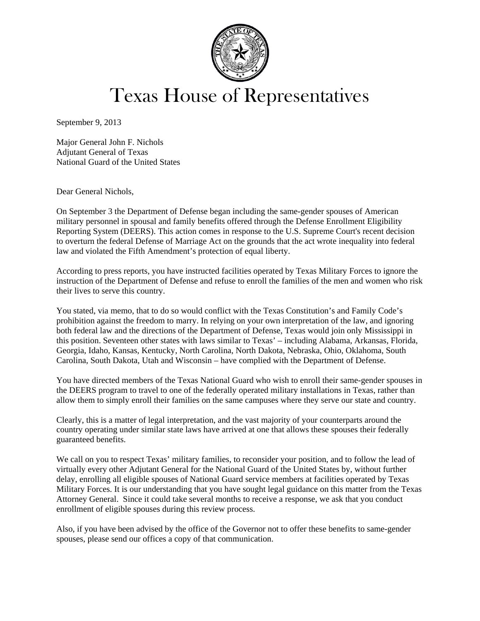

## Texas House of Representatives

September 9, 2013

Major General John F. Nichols Adjutant General of Texas National Guard of the United States

Dear General Nichols,

On September 3 the Department of Defense began including the same-gender spouses of American military personnel in spousal and family benefits offered through the Defense Enrollment Eligibility Reporting System (DEERS). This action comes in response to the U.S. Supreme Court's recent decision to overturn the federal Defense of Marriage Act on the grounds that the act wrote inequality into federal law and violated the Fifth Amendment's protection of equal liberty.

According to press reports, you have instructed facilities operated by Texas Military Forces to ignore the instruction of the Department of Defense and refuse to enroll the families of the men and women who risk their lives to serve this country.

You stated, via memo, that to do so would conflict with the Texas Constitution's and Family Code's prohibition against the freedom to marry. In relying on your own interpretation of the law, and ignoring both federal law and the directions of the Department of Defense, Texas would join only Mississippi in this position. Seventeen other states with laws similar to Texas' – including Alabama, Arkansas, Florida, Georgia, Idaho, Kansas, Kentucky, North Carolina, North Dakota, Nebraska, Ohio, Oklahoma, South Carolina, South Dakota, Utah and Wisconsin – have complied with the Department of Defense.

You have directed members of the Texas National Guard who wish to enroll their same-gender spouses in the DEERS program to travel to one of the federally operated military installations in Texas, rather than allow them to simply enroll their families on the same campuses where they serve our state and country.

Clearly, this is a matter of legal interpretation, and the vast majority of your counterparts around the country operating under similar state laws have arrived at one that allows these spouses their federally guaranteed benefits.

We call on you to respect Texas' military families, to reconsider your position, and to follow the lead of virtually every other Adjutant General for the National Guard of the United States by, without further delay, enrolling all eligible spouses of National Guard service members at facilities operated by Texas Military Forces. It is our understanding that you have sought legal guidance on this matter from the Texas Attorney General. Since it could take several months to receive a response, we ask that you conduct enrollment of eligible spouses during this review process.

Also, if you have been advised by the office of the Governor not to offer these benefits to same-gender spouses, please send our offices a copy of that communication.